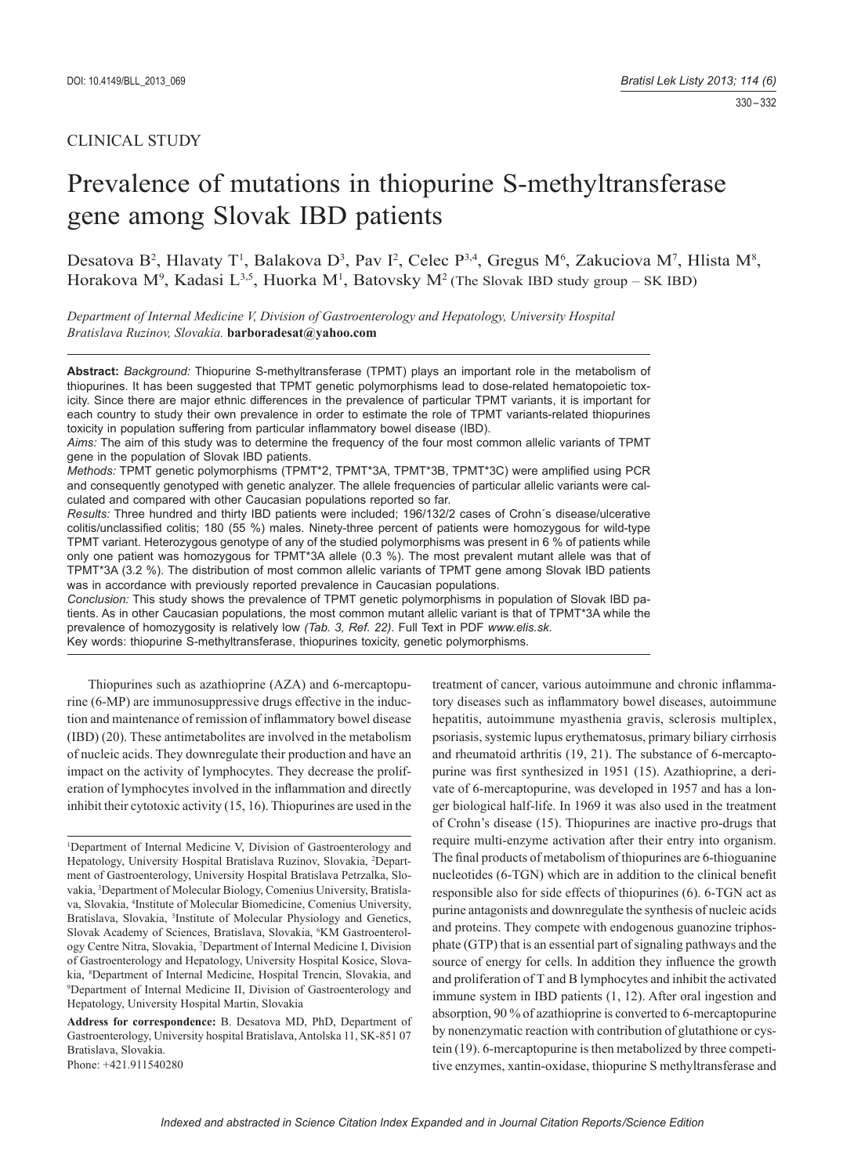# CLINICAL STUDY

# Prevalence of mutations in thiopurine S-methyltransferase gene among Slovak IBD patients

Desatova B<sup>2</sup>, Hlavaty T<sup>1</sup>, Balakova D<sup>3</sup>, Pav I<sup>2</sup>, Celec P<sup>3,4</sup>, Gregus M<sup>6</sup>, Zakuciova M<sup>7</sup>, Hlista M<sup>8</sup>, Horakova M<sup>9</sup>, Kadasi L<sup>3,5</sup>, Huorka M<sup>1</sup>, Batovsky M<sup>2</sup> (The Slovak IBD study group – SK IBD)

*Department of Internal Medicine V, Division of Gastroenterology and Hepatology, University Hospital Bratislava Ruzinov, Slovakia.* **barboradesat@yahoo.com**

**Abstract:** *Background:* Thiopurine S-methyltransferase (TPMT) plays an important role in the metabolism of thiopurines. It has been suggested that TPMT genetic polymorphisms lead to dose-related hematopoietic toxicity. Since there are major ethnic differences in the prevalence of particular TPMT variants, it is important for each country to study their own prevalence in order to estimate the role of TPMT variants-related thiopurines toxicity in population suffering from particular inflammatory bowel disease (IBD).

*Aims:* The aim of this study was to determine the frequency of the four most common allelic variants of TPMT gene in the population of Slovak IBD patients.

Methods: TPMT genetic polymorphisms (TPMT\*2, TPMT\*3A, TPMT\*3B, TPMT\*3C) were amplified using PCR and consequently genotyped with genetic analyzer. The allele frequencies of particular allelic variants were calculated and compared with other Caucasian populations reported so far.

*Results:* Three hundred and thirty IBD patients were included; 196/132/2 cases of Crohn´s disease/ulcerative colitis/unclassified colitis; 180 (55 %) males. Ninety-three percent of patients were homozygous for wild-type TPMT variant. Heterozygous genotype of any of the studied polymorphisms was present in 6 % of patients while only one patient was homozygous for TPMT\*3A allele (0.3 %). The most prevalent mutant allele was that of TPMT\*3A (3.2 %). The distribution of most common allelic variants of TPMT gene among Slovak IBD patients was in accordance with previously reported prevalence in Caucasian populations.

*Conclusion:* This study shows the prevalence of TPMT genetic polymorphisms in population of Slovak IBD patients. As in other Caucasian populations, the most common mutant allelic variant is that of TPMT\*3A while the prevalence of homozygosity is relatively low *(Tab. 3, Ref. 22)*. Full Text in PDF *www.elis.sk.* Key words: thiopurine S-methyltransferase, thiopurines toxicity, genetic polymorphisms.

Thiopurines such as azathioprine (AZA) and 6-mercaptopurine (6-MP) are immunosuppressive drugs effective in the induction and maintenance of remission of inflammatory bowel disease (IBD) (20). These antimetabolites are involved in the metabolism of nucleic acids. They downregulate their production and have an impact on the activity of lymphocytes. They decrease the proliferation of lymphocytes involved in the inflammation and directly inhibit their cytotoxic activity (15, 16). Thiopurines are used in the treatment of cancer, various autoimmune and chronic inflammatory diseases such as inflammatory bowel diseases, autoimmune hepatitis, autoimmune myasthenia gravis, sclerosis multiplex, psoriasis, systemic lupus erythematosus, primary biliary cirrhosis and rheumatoid arthritis (19, 21). The substance of 6-mercaptopurine was first synthesized in 1951 (15). Azathioprine, a derivate of 6-mercaptopurine, was developed in 1957 and has a longer biological half-life. In 1969 it was also used in the treatment of Crohn's disease (15). Thiopurines are inactive pro-drugs that require multi-enzyme activation after their entry into organism. The final products of metabolism of thiopurines are 6-thioguanine nucleotides (6-TGN) which are in addition to the clinical benefit responsible also for side effects of thiopurines (6). 6-TGN act as purine antagonists and downregulate the synthesis of nucleic acids and proteins. They compete with endogenous guanozine triphosphate (GTP) that is an essential part of signaling pathways and the source of energy for cells. In addition they influence the growth and proliferation of T and B lymphocytes and inhibit the activated immune system in IBD patients (1, 12). After oral ingestion and absorption, 90 % of azathioprine is converted to 6-mercaptopurine by nonenzymatic reaction with contribution of glutathione or cystein (19). 6-mercaptopurine is then metabolized by three competitive enzymes, xantin-oxidase, thiopurine S methyltransferase and

<sup>&</sup>lt;sup>1</sup>Department of Internal Medicine V, Division of Gastroenterology and Hepatology, University Hospital Bratislava Ruzinov, Slovakia, <sup>2</sup>Department of Gastroenterology, University Hospital Bratislava Petrzalka, Slovakia, 3 Department of Molecular Biology, Comenius University, Bratislava, Slovakia, 4 Institute of Molecular Biomedicine, Comenius University, Bratislava, Slovakia, <sup>5</sup>Institute of Molecular Physiology and Genetics, Slovak Academy of Sciences, Bratislava, Slovakia, <sup>6</sup>KM Gastroenterology Centre Nitra, Slovakia, 7 Department of Internal Medicine I, Division of Gastroenterology and Hepatology, University Hospital Kosice, Slovakia, <sup>8</sup>Department of Internal Medicine, Hospital Trencin, Slovakia, and <sup>9</sup>Department of Internal Medicine II, Division of Gastroenterology and <sup>9</sup>Department of Internal Medicine II, Division of Gastroenterology and Hepatology, University Hospital Martin, Slovakia

**Address for correspondence:** B. Desatova MD, PhD, Department of Gastroenterology, University hospital Bratislava, Antolska 11, SK-851 07 Bratislava, Slovakia. Phone: +421.911540280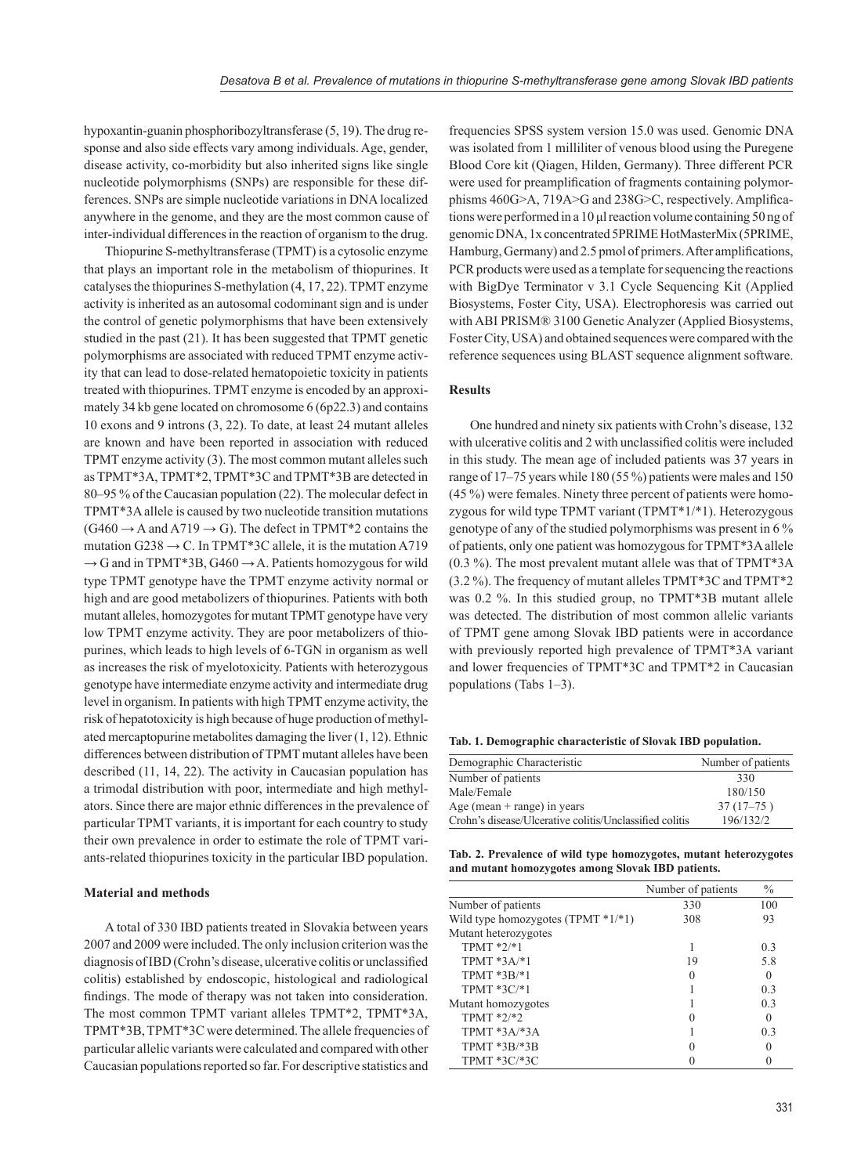hypoxantin-guanin phosphoribozyltransferase (5, 19). The drug response and also side effects vary among individuals. Age, gender, disease activity, co-morbidity but also inherited signs like single nucleotide polymorphisms (SNPs) are responsible for these differences. SNPs are simple nucleotide variations in DNA localized anywhere in the genome, and they are the most common cause of inter-individual differences in the reaction of organism to the drug.

Thiopurine S-methyltransferase (TPMT) is a cytosolic enzyme that plays an important role in the metabolism of thiopurines. It catalyses the thiopurines S-methylation (4, 17, 22). TPMT enzyme activity is inherited as an autosomal codominant sign and is under the control of genetic polymorphisms that have been extensively studied in the past (21). It has been suggested that TPMT genetic polymorphisms are associated with reduced TPMT enzyme activity that can lead to dose-related hematopoietic toxicity in patients treated with thiopurines. TPMT enzyme is encoded by an approximately 34 kb gene located on chromosome 6 (6p22.3) and contains 10 exons and 9 introns (3, 22). To date, at least 24 mutant alleles are known and have been reported in association with reduced TPMT enzyme activity (3). The most common mutant alleles such as TPMT\*3A, TPMT\*2, TPMT\*3C and TPMT\*3B are detected in 80–95 % of the Caucasian population (22). The molecular defect in TPMT\*3A allele is caused by two nucleotide transition mutations  $(G460 \rightarrow A$  and A719  $\rightarrow G$ ). The defect in TPMT\*2 contains the mutation G238  $\rightarrow$  C. In TPMT\*3C allele, it is the mutation A719  $\rightarrow$  G and in TPMT\*3B, G460  $\rightarrow$  A. Patients homozygous for wild type TPMT genotype have the TPMT enzyme activity normal or high and are good metabolizers of thiopurines. Patients with both mutant alleles, homozygotes for mutant TPMT genotype have very low TPMT enzyme activity. They are poor metabolizers of thiopurines, which leads to high levels of 6-TGN in organism as well as increases the risk of myelotoxicity. Patients with heterozygous genotype have intermediate enzyme activity and intermediate drug level in organism. In patients with high TPMT enzyme activity, the risk of hepatotoxicity is high because of huge production of methylated mercaptopurine metabolites damaging the liver (1, 12). Ethnic differences between distribution of TPMT mutant alleles have been described (11, 14, 22). The activity in Caucasian population has a trimodal distribution with poor, intermediate and high methylators. Since there are major ethnic differences in the prevalence of particular TPMT variants, it is important for each country to study their own prevalence in order to estimate the role of TPMT variants-related thiopurines toxicity in the particular IBD population.

#### **Material and methods**

A total of 330 IBD patients treated in Slovakia between years 2007 and 2009 were included. The only inclusion criterion was the diagnosis of IBD (Crohn's disease, ulcerative colitis or unclassified colitis) established by endoscopic, histological and radiological findings. The mode of therapy was not taken into consideration. The most common TPMT variant alleles TPMT\*2, TPMT\*3A, TPMT\*3B, TPMT\*3C were determined. The allele frequencies of particular allelic variants were calculated and compared with other Caucasian populations reported so far. For descriptive statistics and

frequencies SPSS system version 15.0 was used. Genomic DNA was isolated from 1 milliliter of venous blood using the Puregene Blood Core kit (Qiagen, Hilden, Germany). Three different PCR were used for preamplification of fragments containing polymorphisms  $460G>A$ ,  $719A>G$  and  $238G>C$ , respectively. Amplifications were performed in a 10 μl reaction volume containing 50 ng of genomic DNA, 1x concentrated 5PRIME HotMasterMix (5PRIME, Hamburg, Germany) and 2.5 pmol of primers. After amplifications, PCR products were used as a template for sequencing the reactions with BigDye Terminator v 3.1 Cycle Sequencing Kit (Applied Biosystems, Foster City, USA). Electrophoresis was carried out with ABI PRISM® 3100 Genetic Analyzer (Applied Biosystems, Foster City, USA) and obtained sequences were compared with the reference sequences using BLAST sequence alignment software.

## **Results**

One hundred and ninety six patients with Crohn's disease, 132 with ulcerative colitis and 2 with unclassified colitis were included in this study. The mean age of included patients was 37 years in range of 17–75 years while 180 (55 %) patients were males and 150 (45 %) were females. Ninety three percent of patients were homozygous for wild type TPMT variant (TPMT\*1/\*1). Heterozygous genotype of any of the studied polymorphisms was present in 6 % of patients, only one patient was homozygous for TPMT\*3A allele (0.3 %). The most prevalent mutant allele was that of TPMT\*3A (3.2 %). The frequency of mutant alleles TPMT\*3C and TPMT\*2 was 0.2 %. In this studied group, no TPMT\*3B mutant allele was detected. The distribution of most common allelic variants of TPMT gene among Slovak IBD patients were in accordance with previously reported high prevalence of TPMT\*3A variant and lower frequencies of TPMT\*3C and TPMT\*2 in Caucasian populations (Tabs 1–3).

**Tab. 1. Demographic characteristic of Slovak IBD population.**

| Demographic Characteristic                              | Number of patients |
|---------------------------------------------------------|--------------------|
| Number of patients                                      | 330                |
| Male/Female                                             | 180/150            |
| Age (mean $+$ range) in years                           | $37(17-75)$        |
| Crohn's disease/Ulcerative colitis/Unclassified colitis | 196/132/2          |

**Tab. 2. Prevalence of wild type homozygotes, mutant heterozygotes and mutant homozygotes among Slovak IBD patients.**

|                                       | Number of patients | $\frac{0}{0}$  |
|---------------------------------------|--------------------|----------------|
| Number of patients                    | 330                | 100            |
| Wild type homozygotes (TPMT $*1/*1$ ) | 308                | 93             |
| Mutant heterozygotes                  |                    |                |
| $TPMT * 2/* 1$                        |                    | 0.3            |
| TPMT $*3A/*1$                         | 19                 | 5.8            |
| $TPMT*3B*1$                           |                    | $\Omega$       |
| $TPMT*3C*1$                           |                    | 0.3            |
| Mutant homozygotes                    |                    | 0 <sup>3</sup> |
| $TPMT * 2/*2$                         |                    | 0              |
| $TPMT*3A/*3A$                         |                    | 0.3            |
| $TPMT * 3B/* 3B$                      |                    | $\Omega$       |
| $TPMT * 3C * 3C$                      |                    |                |